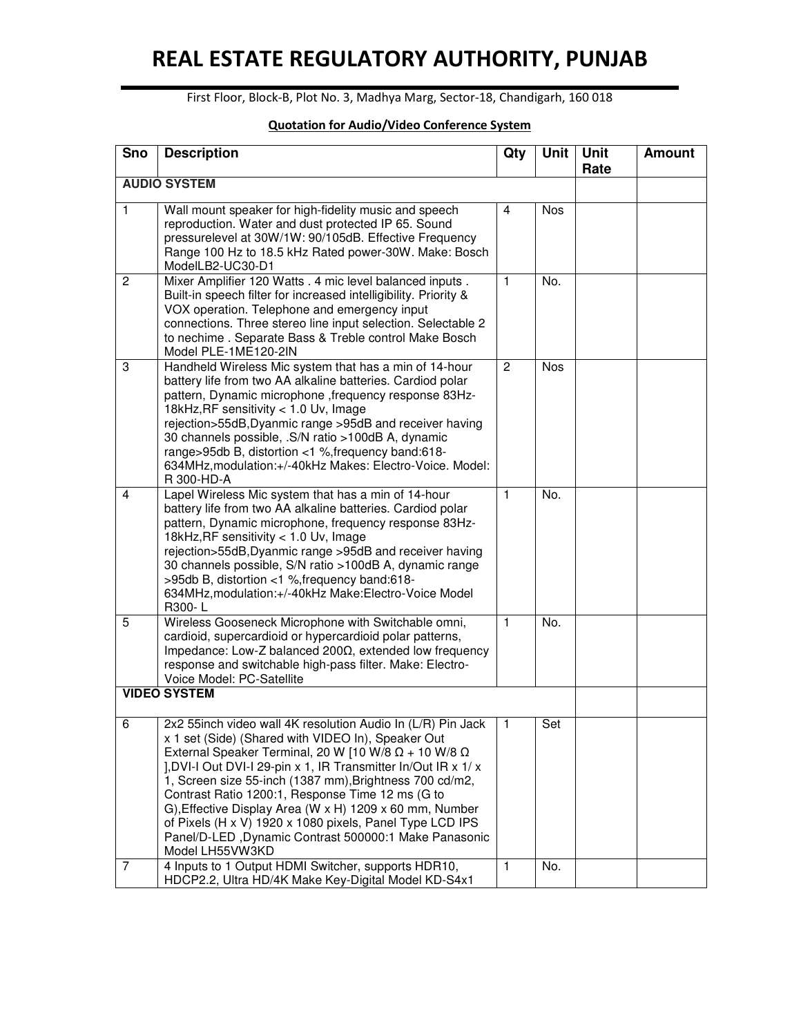## **REAL ESTATE REGULATORY AUTHORITY, PUNJAB**

First Floor, Block-B, Plot No. 3, Madhya Marg, Sector-18, Chandigarh, 160 018

| <b>Sno</b>          | <b>Description</b>                                                                                                                                                                                                                                                                                                                                                                                                                                                                                                                                                          | Qty            | Unit       | <b>Unit</b><br>Rate | <b>Amount</b> |  |  |
|---------------------|-----------------------------------------------------------------------------------------------------------------------------------------------------------------------------------------------------------------------------------------------------------------------------------------------------------------------------------------------------------------------------------------------------------------------------------------------------------------------------------------------------------------------------------------------------------------------------|----------------|------------|---------------------|---------------|--|--|
| <b>AUDIO SYSTEM</b> |                                                                                                                                                                                                                                                                                                                                                                                                                                                                                                                                                                             |                |            |                     |               |  |  |
| $\mathbf{1}$        | Wall mount speaker for high-fidelity music and speech<br>reproduction. Water and dust protected IP 65. Sound<br>pressurelevel at 30W/1W: 90/105dB. Effective Frequency<br>Range 100 Hz to 18.5 kHz Rated power-30W. Make: Bosch<br>ModelLB2-UC30-D1                                                                                                                                                                                                                                                                                                                         | $\overline{4}$ | <b>Nos</b> |                     |               |  |  |
| $\mathbf{2}$        | Mixer Amplifier 120 Watts . 4 mic level balanced inputs .<br>Built-in speech filter for increased intelligibility. Priority &<br>VOX operation. Telephone and emergency input<br>connections. Three stereo line input selection. Selectable 2<br>to nechime . Separate Bass & Treble control Make Bosch<br>Model PLE-1ME120-2IN                                                                                                                                                                                                                                             | $\mathbf{1}$   | No.        |                     |               |  |  |
| 3                   | Handheld Wireless Mic system that has a min of 14-hour<br>battery life from two AA alkaline batteries. Cardiod polar<br>pattern, Dynamic microphone , frequency response 83Hz-<br>18kHz, RF sensitivity < 1.0 Uv, Image<br>rejection>55dB, Dyanmic range >95dB and receiver having<br>30 channels possible, .S/N ratio >100dB A, dynamic<br>range>95db B, distortion <1 %, frequency band:618-<br>634MHz, modulation: +/-40kHz Makes: Electro-Voice. Model:<br>R 300-HD-A                                                                                                   | $\overline{2}$ | <b>Nos</b> |                     |               |  |  |
| 4                   | Lapel Wireless Mic system that has a min of 14-hour<br>battery life from two AA alkaline batteries. Cardiod polar<br>pattern, Dynamic microphone, frequency response 83Hz-<br>18kHz, RF sensitivity < 1.0 Uv, Image<br>rejection>55dB, Dyanmic range >95dB and receiver having<br>30 channels possible, S/N ratio >100dB A, dynamic range<br>>95db B, distortion <1 %, frequency band:618-<br>634MHz, modulation: +/-40kHz Make: Electro-Voice Model<br>R300-L                                                                                                              | 1              | No.        |                     |               |  |  |
| 5                   | Wireless Gooseneck Microphone with Switchable omni,<br>cardioid, supercardioid or hypercardioid polar patterns,<br>Impedance: Low-Z balanced 200Ω, extended low frequency<br>response and switchable high-pass filter. Make: Electro-<br>Voice Model: PC-Satellite                                                                                                                                                                                                                                                                                                          | $\mathbf{1}$   | No.        |                     |               |  |  |
|                     | <b>VIDEO SYSTEM</b>                                                                                                                                                                                                                                                                                                                                                                                                                                                                                                                                                         |                |            |                     |               |  |  |
| 6                   | 2x2 55inch video wall 4K resolution Audio In (L/R) Pin Jack<br>x 1 set (Side) (Shared with VIDEO In), Speaker Out<br>External Speaker Terminal, 20 W [10 W/8 $\Omega$ + 10 W/8 $\Omega$<br>1, DVI-I Out DVI-I 29-pin x 1, IR Transmitter In/Out IR x 1/ x<br>1, Screen size 55-inch (1387 mm), Brightness 700 cd/m2,<br>Contrast Ratio 1200:1, Response Time 12 ms (G to<br>G), Effective Display Area (W x H) 1209 x 60 mm, Number<br>of Pixels (H x V) 1920 x 1080 pixels, Panel Type LCD IPS<br>Panel/D-LED, Dynamic Contrast 500000:1 Make Panasonic<br>Model LH55VW3KD | Т.             | Set        |                     |               |  |  |
| $\overline{7}$      | 4 Inputs to 1 Output HDMI Switcher, supports HDR10,<br>HDCP2.2, Ultra HD/4K Make Key-Digital Model KD-S4x1                                                                                                                                                                                                                                                                                                                                                                                                                                                                  | $\mathbf{1}$   | No.        |                     |               |  |  |

## **Quotation for Audio/Video Conference System**